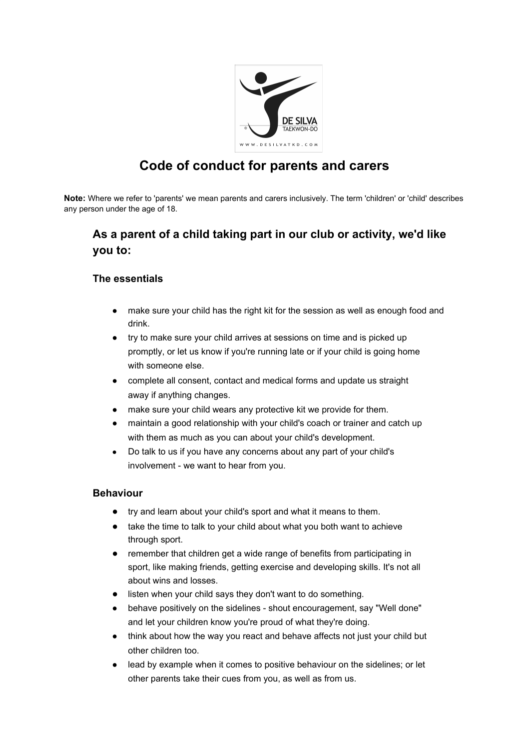

# **Code of conduct for parents and carers**

**Note:** Where we refer to 'parents' we mean parents and carers inclusively. The term 'children' or 'child' describes any person under the age of 18.

## **As a parent of a child taking part in our club or activity, we'd like you to:**

#### **The essentials**

- make sure your child has the right kit for the session as well as enough food and drink.
- try to make sure your child arrives at sessions on time and is picked up promptly, or let us know if you're running late or if your child is going home with someone else.
- complete all consent, contact and medical forms and update us straight away if anything changes.
- make sure your child wears any protective kit we provide for them.
- maintain a good relationship with your child's coach or trainer and catch up with them as much as you can about your child's development.
- Do talk to us if you have any concerns about any part of your child's involvement - we want to hear from you.

#### **Behaviour**

- try and learn about your child's sport and what it means to them.
- take the time to talk to your child about what you both want to achieve through sport.
- remember that children get a wide range of benefits from participating in sport, like making friends, getting exercise and developing skills. It's not all about wins and losses.
- listen when your child says they don't want to do something.
- behave positively on the sidelines shout encouragement, say "Well done" and let your children know you're proud of what they're doing.
- think about how the way you react and behave affects not just your child but other children too.
- lead by example when it comes to positive behaviour on the sidelines; or let other parents take their cues from you, as well as from us.